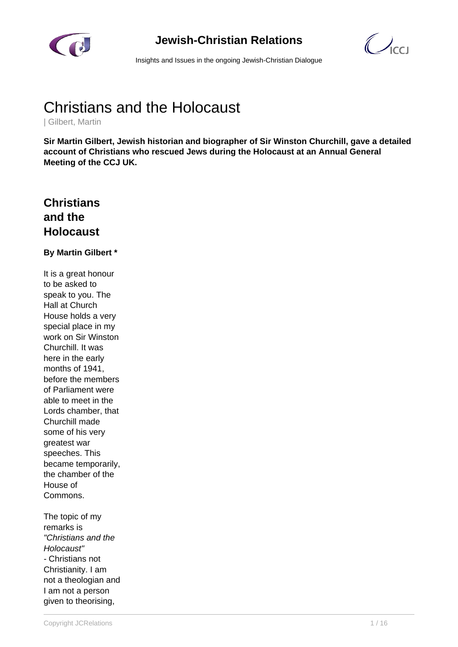

# **Jewish-Christian Relations**

 $\mathcal{C}$ 

Insights and Issues in the ongoing Jewish-Christian Dialogue

# Christians and the Holocaust

| Gilbert, Martin

**Sir Martin Gilbert, Jewish historian and biographer of Sir Winston Churchill, gave a detailed account of Christians who rescued Jews during the Holocaust at an Annual General Meeting of the CCJ UK.**

# **Christians and the Holocaust**

#### **By Martin Gilbert \***

It is a great honour to be asked to speak to you. The Hall at Church House holds a very special place in my work on Sir Winston Churchill. It was here in the early months of 1941, before the members of Parliament were able to meet in the Lords chamber, that Churchill made some of his very greatest war speeches. This became temporarily, the chamber of the House of Commons.

The topic of my remarks is "Christians and the Holocaust" - Christians not Christianity. I am not a theologian and I am not a person given to theorising,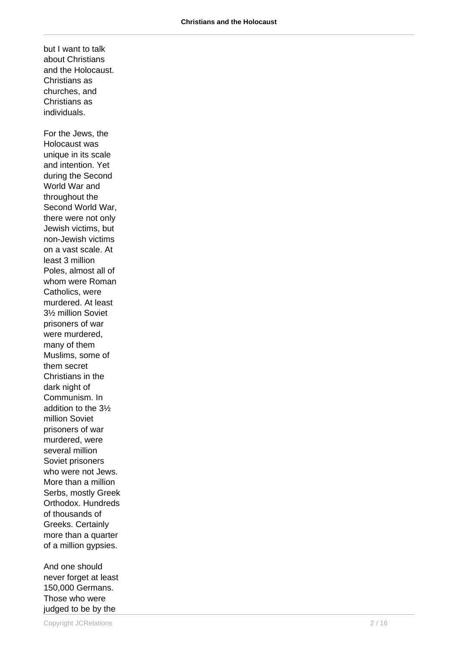about Christians and the Holocaust. Christians as churches, and Christians as individuals. For the Jews, the Holocaust was unique in its scale and intention. Yet during the Second World War and throughout the Second World War, there were not only Jewish victims, but non-Jewish victims on a vast scale. At least 3 million Poles, almost all of whom were Roman Catholics, were murdered. At least 3½ million Soviet prisoners of war were murdered, many of them Muslims, some of them secret Christians in the dark night of Communism. In addition to the 3½ million Soviet prisoners of war murdered, were several million Soviet prisoners who were not Jews. More than a million Serbs, mostly Greek Orthodox. Hundreds of thousands of Greeks. Certainly more than a quarter of a million gypsies.

but I want to talk

And one should never forget at least 150,000 Germans. Those who were judged to be by the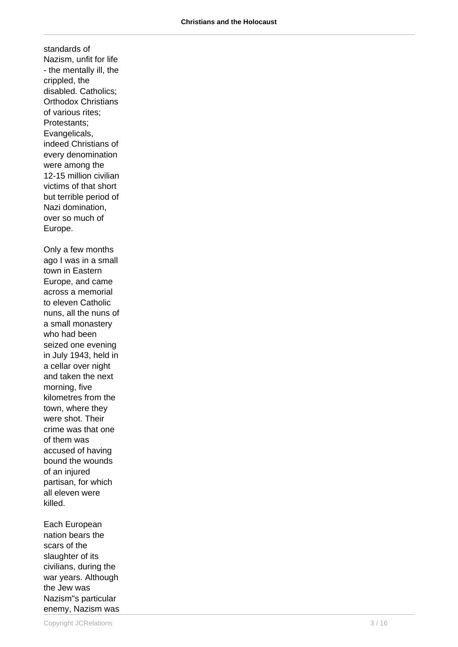standards of Nazism, unfit for life - the mentally ill, the crippled, the disabled. Catholics; Orthodox Christians of various rites; Protestants; Evangelicals, indeed Christians of every denomination were among the 12-15 million civilian victims of that short but terrible period of Nazi domination, over so much of Europe. Only a few months ago I was in a small

town in Eastern Europe, and came across a memorial to eleven Catholic nuns, all the nuns of a small monastery who had been seized one evening in July 1943, held in a cellar over night and taken the next morning, five kilometres from the town, where they were shot. Their crime was that one of them was accused of having bound the wounds of an injured partisan, for which all eleven were killed.

Each European nation bears the scars of the slaughter of its civilians, during the war years. Although the Jew was Nazism"s particular enemy, Nazism was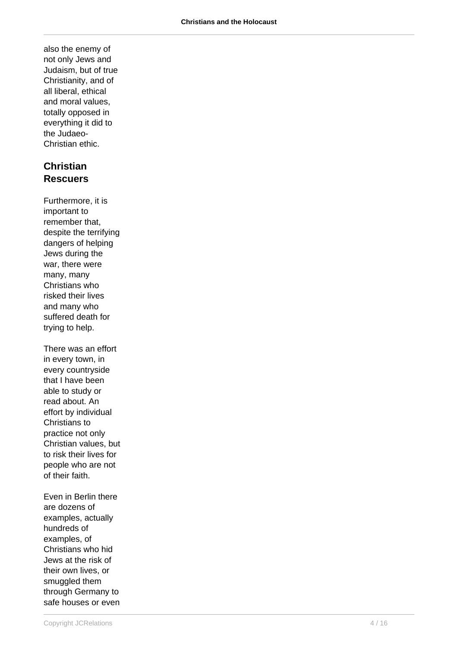also the enemy of not only Jews and Judaism, but of true Christianity, and of all liberal, ethical and moral values, totally opposed in everything it did to the Judaeo-Christian ethic.

# **Christian Rescuers**

Furthermore, it is important to remember that, despite the terrifying dangers of helping Jews during the war, there were many, many Christians who risked their lives and many who suffered death for trying to help.

There was an effort in every town, in every countryside that I have been able to study or read about. An effort by individual Christians to practice not only Christian values, but to risk their lives for people who are not of their faith.

Even in Berlin there are dozens of examples, actually hundreds of examples, of Christians who hid Jews at the risk of their own lives, or smuggled them through Germany to safe houses or even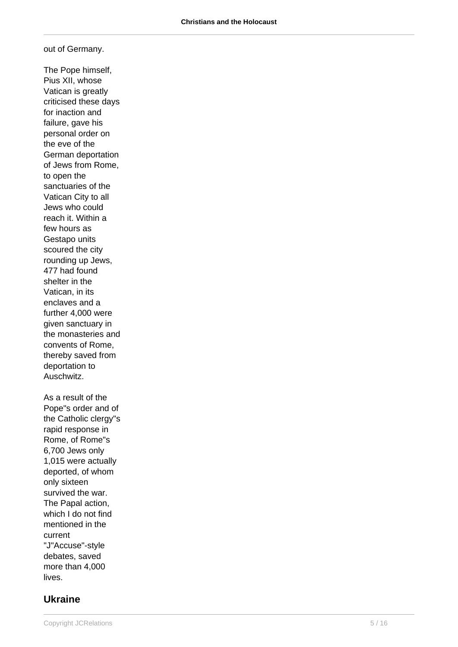out of Germany.

The Pope himself, Pius XII, whose Vatican is greatly criticised these days for inaction and failure, gave his personal order on the eve of the German deportation of Jews from Rome, to open the sanctuaries of the Vatican City to all Jews who could reach it. Within a few hours as Gestapo units scoured the city rounding up Jews, 477 had found shelter in the Vatican, in its enclaves and a further 4,000 were given sanctuary in the monasteries and convents of Rome, thereby saved from deportation to Auschwitz. As a result of the Pope"s order and of the Catholic clergy"s rapid response in Rome, of Rome"s 6,700 Jews only 1,015 were actually deported, of whom only sixteen survived the war.

The Papal action, which I do not find mentioned in the current "J"Accuse"-style debates, saved more than 4,000 lives.

### **Ukraine**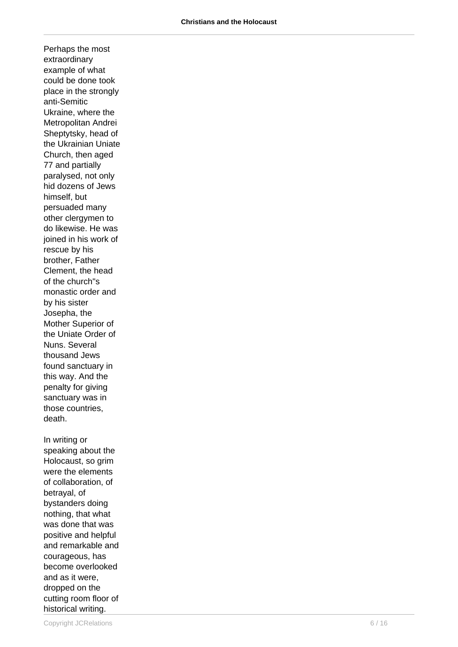Perhaps the most extraordinary example of what could be done took place in the strongly anti-Semitic Ukraine, where the Metropolitan Andrei Sheptytsky, head of the Ukrainian Uniate Church, then aged 77 and partially paralysed, not only hid dozens of Jews himself, but persuaded many other clergymen to do likewise. He was joined in his work of rescue by his brother, Father Clement, the head of the church"s monastic order and by his sister Josepha, the Mother Superior of the Uniate Order of Nuns. Several thousand Jews found sanctuary in this way. And the penalty for giving sanctuary was in those countries, death. In writing or speaking about the Holocaust, so grim were the elements of collaboration, of betrayal, of bystanders doing nothing, that what was done that was positive and helpful and remarkable and courageous, has become overlooked

and as it were, dropped on the cutting room floor of historical writing.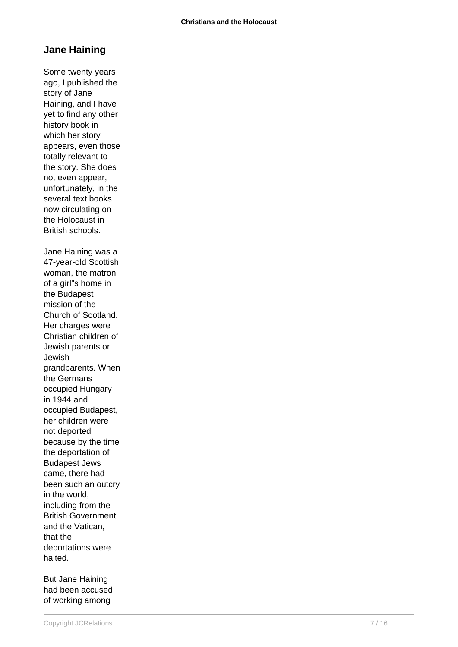### **Jane Haining**

Some twenty years ago, I published the story of Jane Haining, and I have yet to find any other history book in which her story appears, even those totally relevant to the story. She does not even appear, unfortunately, in the several text books now circulating on the Holocaust in British schools. Jane Haining was a 47-year-old Scottish woman, the matron of a girl"s home in the Budapest mission of the Church of Scotland. Her charges were Christian children of Jewish parents or Jewish grandparents. When the Germans occupied Hungary in 1944 and occupied Budapest, her children were not deported because by the time the deportation of Budapest Jews came, there had been such an outcry in the world, including from the British Government and the Vatican, that the deportations were halted.

But Jane Haining had been accused of working among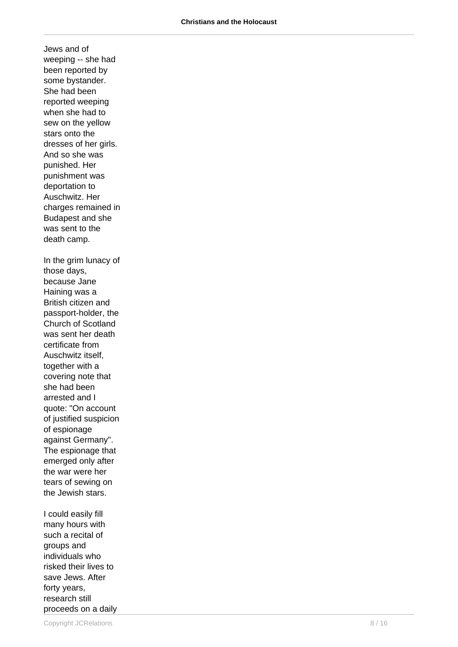Jews and of weeping -- she had been reported by some bystander. She had been reported weeping when she had to sew on the yellow stars onto the dresses of her girls. And so she was punished. Her punishment was deportation to Auschwitz. Her charges remained in Budapest and she was sent to the death camp. In the grim lunacy of those days, because Jane Haining was a British citizen and passport-holder, the Church of Scotland was sent her death certificate from Auschwitz itself, together with a covering note that she had been arrested and I quote: "On account of justified suspicion of espionage against Germany". The espionage that emerged only after the war were her tears of sewing on the Jewish stars.

I could easily fill many hours with such a recital of groups and individuals who risked their lives to save Jews. After forty years, research still proceeds on a daily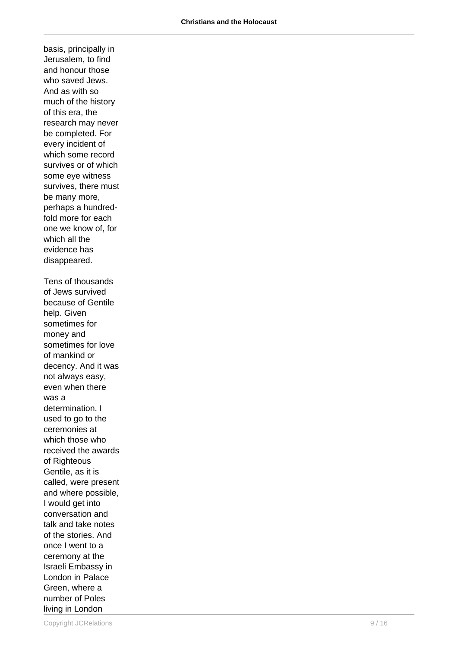basis, principally in Jerusalem, to find and honour those who saved Jews. And as with so much of the history of this era, the research may never be completed. For every incident of which some record survives or of which some eye witness survives, there must be many more, perhaps a hundredfold more for each one we know of, for which all the evidence has disappeared. Tens of thousands of Jews survived because of Gentile help. Given sometimes for money and sometimes for love of mankind or decency. And it was not always easy, even when there was a determination. I used to go to the ceremonies at which those who received the awards of Righteous Gentile, as it is called, were present and where possible, I would get into conversation and talk and take notes of the stories. And once I went to a ceremony at the Israeli Embassy in London in Palace Green, where a number of Poles living in London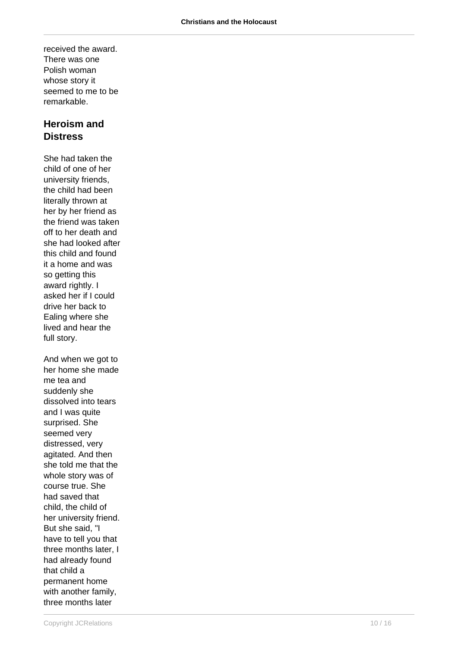received the award. There was one Polish woman whose story it seemed to me to be remarkable.

## **Heroism and Distress**

She had taken the child of one of her university friends, the child had been literally thrown at her by her friend as the friend was taken off to her death and she had looked after this child and found it a home and was so getting this award rightly. I asked her if I could drive her back to Ealing where she lived and hear the full story. And when we got to

her home she made me tea and suddenly she dissolved into tears and I was quite surprised. She seemed very distressed, very agitated. And then she told me that the whole story was of course true. She had saved that child, the child of her university friend. But she said, "I have to tell you that three months later, I had already found that child a permanent home with another family, three months later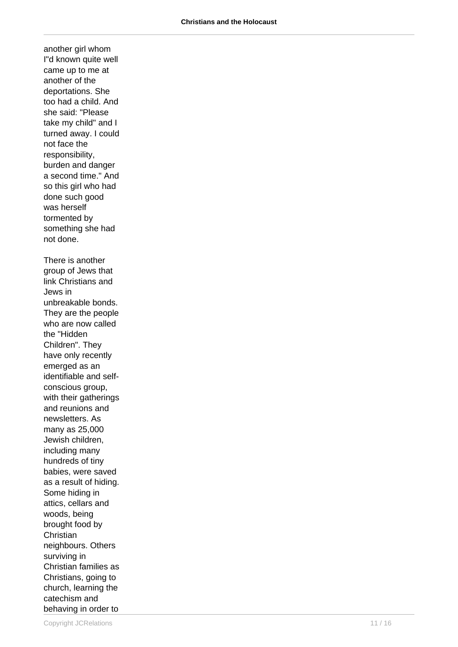another girl whom I"d known quite well came up to me at another of the deportations. She too had a child. And she said: "Please take my child" and I turned away. I could not face the responsibility, burden and danger a second time." And so this girl who had done such good was herself tormented by something she had not done. There is another group of Jews that link Christians and Jews in unbreakable bonds. They are the people who are now called the "Hidden Children". They have only recently emerged as an identifiable and selfconscious group, with their gatherings and reunions and newsletters. As many as 25,000 Jewish children, including many hundreds of tiny babies, were saved as a result of hiding. Some hiding in attics, cellars and woods, being brought food by **Christian** neighbours. Others surviving in Christian families as Christians, going to church, learning the catechism and behaving in order to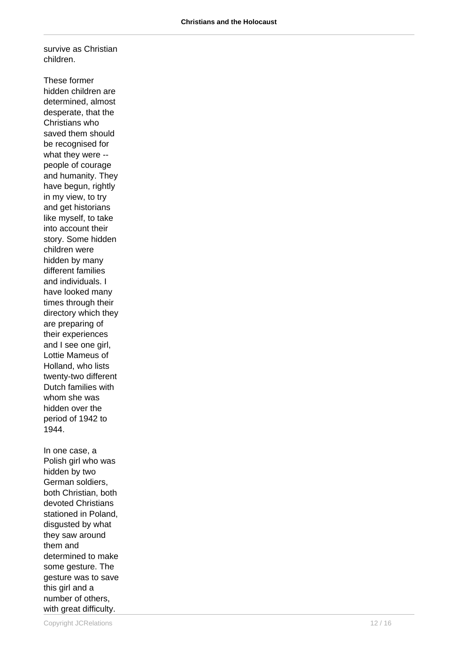survive as Christian children.

These former hidden children are determined, almost desperate, that the Christians who saved them should be recognised for what they were - people of courage and humanity. They have begun, rightly in my view, to try and get historians like myself, to take into account their story. Some hidden children were hidden by many different families and individuals. I have looked many times through their directory which they are preparing of their experiences and I see one girl, Lottie Mameus of Holland, who lists twenty-two different Dutch families with whom she was hidden over the period of 1942 to 1944. In one case, a Polish girl who was hidden by two German soldiers, both Christian, both devoted Christians stationed in Poland, disgusted by what they saw around them and determined to make some gesture. The gesture was to save

this girl and a number of others,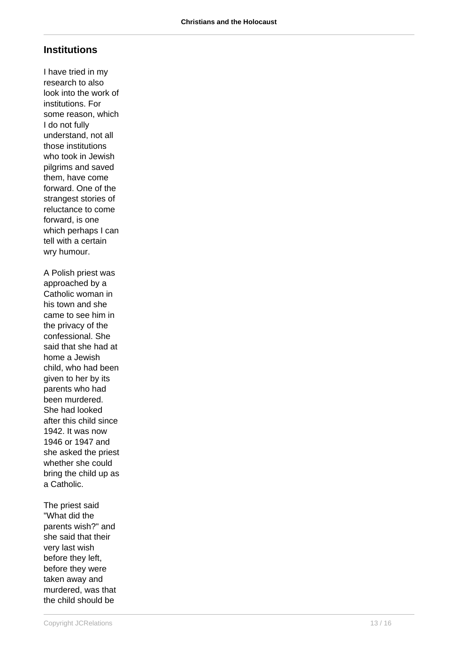## **Institutions**

I have tried in my research to also look into the work of institutions. For some reason, which I do not fully understand, not all those institutions who took in Jewish pilgrims and saved them, have come forward. One of the strangest stories of reluctance to come forward, is one which perhaps I can tell with a certain wry humour. A Polish priest was approached by a Catholic woman in his town and she came to see him in the privacy of the confessional. She said that she had at home a Jewish child, who had been given to her by its parents who had been murdered.

The priest said "What did the parents wish?" and she said that their very last wish before they left, before they were taken away and murdered, was that the child should be

She had looked after this child since 1942. It was now 1946 or 1947 and she asked the priest whether she could bring the child up as

a Catholic.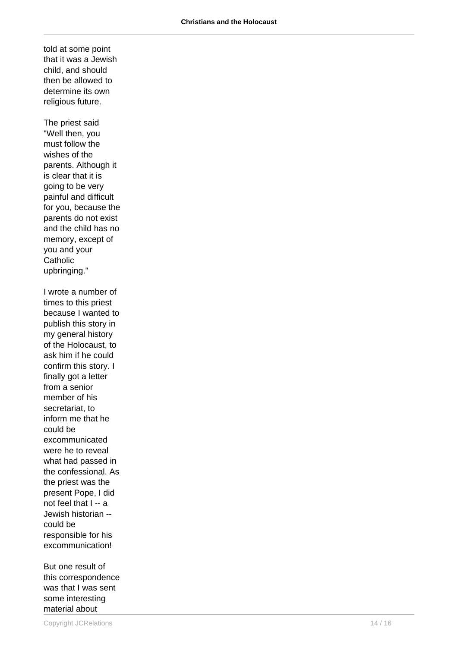told at some point that it was a Jewish child, and should then be allowed to determine its own religious future.

The priest said "Well then, you must follow the wishes of the parents. Although it is clear that it is going to be very painful and difficult for you, because the parents do not exist and the child has no memory, except of you and your **Catholic** upbringing."

I wrote a number of times to this priest because I wanted to publish this story in my general history of the Holocaust, to ask him if he could confirm this story. I finally got a letter from a senior member of his secretariat, to inform me that he could be excommunicated were he to reveal what had passed in the confessional. As the priest was the present Pope, I did not feel that I -- a Jewish historian - could be responsible for his excommunication!

But one result of this correspondence was that I was sent some interesting material about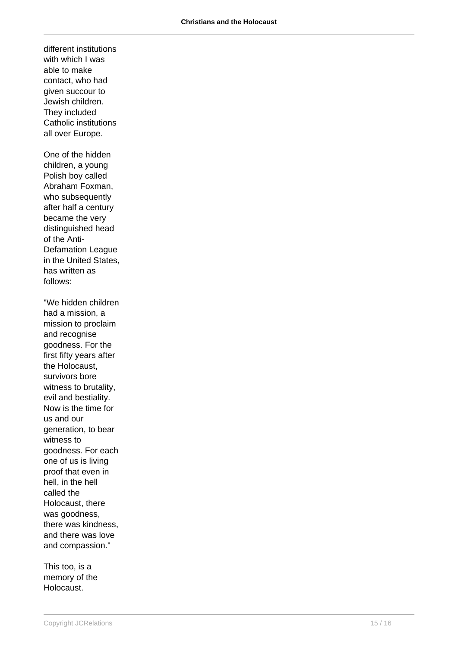different institutions with which I was able to make contact, who had given succour to Jewish children. They included Catholic institutions all over Europe. One of the hidden children, a young Polish boy called Abraham Foxman, who subsequently after half a century became the very distinguished head of the Anti-Defamation League in the United States, has written as follows: "We hidden children had a mission, a mission to proclaim and recognise goodness. For the first fifty years after the Holocaust, survivors bore witness to brutality, evil and bestiality. Now is the time for us and our generation, to bear witness to goodness. For each one of us is living proof that even in hell, in the hell called the Holocaust, there was goodness, there was kindness, and there was love and compassion."

This too, is a memory of the Holocaust.